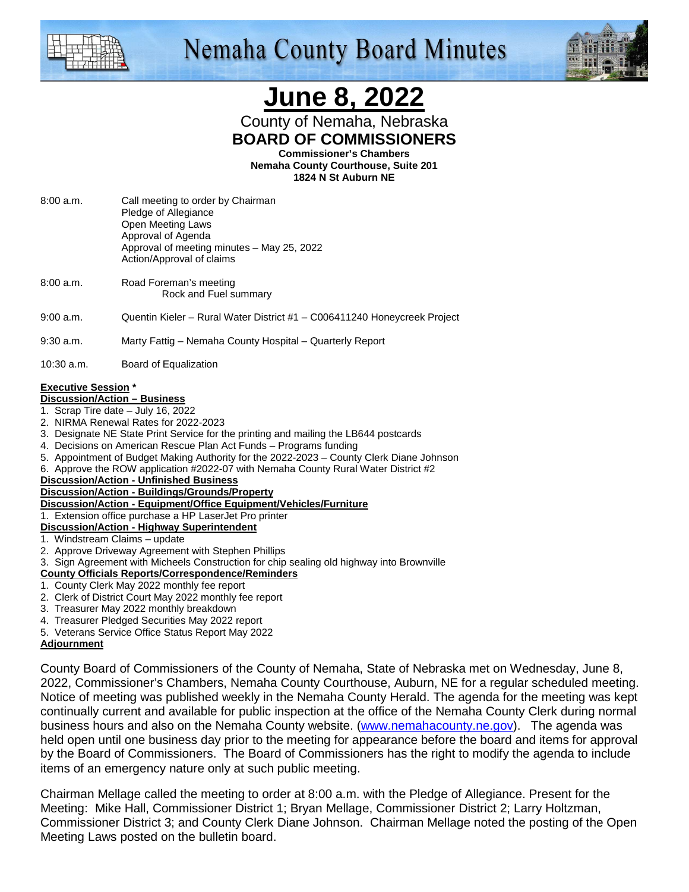

# **Nemaha County Board Minutes**



# **June 8, 2022**

County of Nemaha, Nebraska **BOARD OF COMMISSIONERS** 

**Commissioner's Chambers** 

**Nemaha County Courthouse, Suite 201 1824 N St Auburn NE** 

- 8:00 a.m. Call meeting to order by Chairman Pledge of Allegiance Open Meeting Laws Approval of Agenda Approval of meeting minutes – May 25, 2022 Action/Approval of claims
- 8:00 a.m. Road Foreman's meeting Rock and Fuel summary
- 9:00 a.m. Quentin Kieler Rural Water District #1 C006411240 Honeycreek Project

9:30 a.m. Marty Fattig – Nemaha County Hospital – Quarterly Report

10:30 a.m. Board of Equalization

## **Executive Session \***

#### **Discussion/Action – Business**

- 1. Scrap Tire date July 16, 2022
- 2. NIRMA Renewal Rates for 2022-2023
- 3. Designate NE State Print Service for the printing and mailing the LB644 postcards
- 4. Decisions on American Rescue Plan Act Funds Programs funding
- 5. Appointment of Budget Making Authority for the 2022-2023 County Clerk Diane Johnson
- 6. Approve the ROW application #2022-07 with Nemaha County Rural Water District #2

**Discussion/Action - Unfinished Business**

- **Discussion/Action Buildings/Grounds/Property**
- **Discussion/Action Equipment/Office Equipment/Vehicles/Furniture**
- 1. Extension office purchase a HP LaserJet Pro printer

#### **Discussion/Action - Highway Superintendent**

- 1. Windstream Claims update
- 2. Approve Driveway Agreement with Stephen Phillips
- 3. Sign Agreement with Micheels Construction for chip sealing old highway into Brownville
- **County Officials Reports/Correspondence/Reminders**
- 1. County Clerk May 2022 monthly fee report
- 2. Clerk of District Court May 2022 monthly fee report
- 3. Treasurer May 2022 monthly breakdown
- 4. Treasurer Pledged Securities May 2022 report
- 5. Veterans Service Office Status Report May 2022

#### **Adjournment**

County Board of Commissioners of the County of Nemaha, State of Nebraska met on Wednesday, June 8, 2022, Commissioner's Chambers, Nemaha County Courthouse, Auburn, NE for a regular scheduled meeting. Notice of meeting was published weekly in the Nemaha County Herald. The agenda for the meeting was kept continually current and available for public inspection at the office of the Nemaha County Clerk during normal business hours and also on the Nemaha County website. (www.nemahacounty.ne.gov). The agenda was held open until one business day prior to the meeting for appearance before the board and items for approval by the Board of Commissioners. The Board of Commissioners has the right to modify the agenda to include items of an emergency nature only at such public meeting.

Chairman Mellage called the meeting to order at 8:00 a.m. with the Pledge of Allegiance. Present for the Meeting: Mike Hall, Commissioner District 1; Bryan Mellage, Commissioner District 2; Larry Holtzman, Commissioner District 3; and County Clerk Diane Johnson. Chairman Mellage noted the posting of the Open Meeting Laws posted on the bulletin board.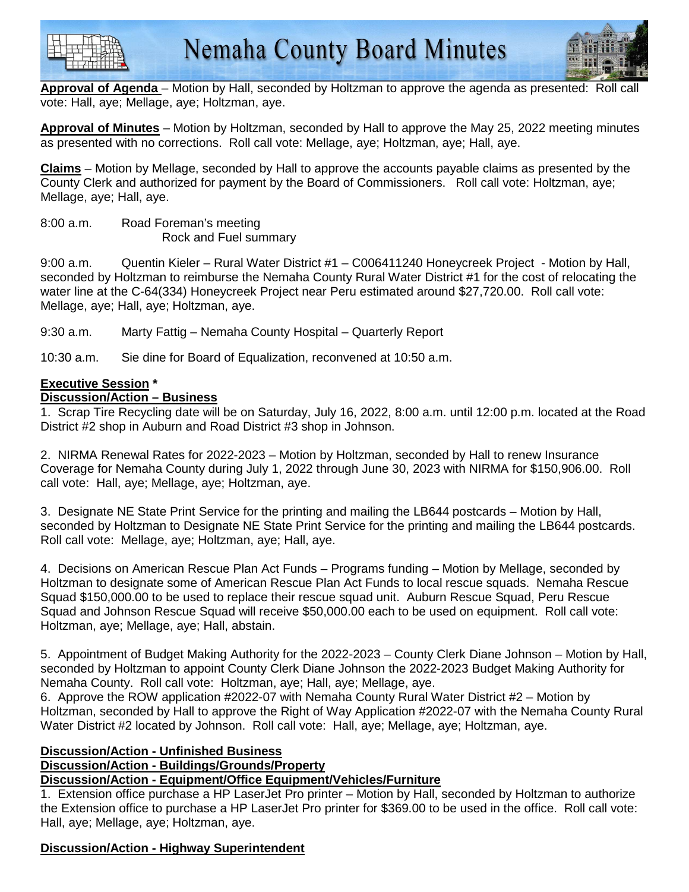



**Approval of Agenda** – Motion by Hall, seconded by Holtzman to approve the agenda as presented: Roll call vote: Hall, aye; Mellage, aye; Holtzman, aye.

**Approval of Minutes** – Motion by Holtzman, seconded by Hall to approve the May 25, 2022 meeting minutes as presented with no corrections. Roll call vote: Mellage, aye; Holtzman, aye; Hall, aye.

**Claims** – Motion by Mellage, seconded by Hall to approve the accounts payable claims as presented by the County Clerk and authorized for payment by the Board of Commissioners. Roll call vote: Holtzman, aye; Mellage, aye; Hall, aye.

8:00 a.m. Road Foreman's meeting Rock and Fuel summary

9:00 a.m. Quentin Kieler – Rural Water District #1 – C006411240 Honeycreek Project - Motion by Hall, seconded by Holtzman to reimburse the Nemaha County Rural Water District #1 for the cost of relocating the water line at the C-64(334) Honeycreek Project near Peru estimated around \$27,720.00. Roll call vote: Mellage, aye; Hall, aye; Holtzman, aye.

9:30 a.m. Marty Fattig – Nemaha County Hospital – Quarterly Report

10:30 a.m. Sie dine for Board of Equalization, reconvened at 10:50 a.m.

#### **Executive Session \***

#### **Discussion/Action – Business**

1. Scrap Tire Recycling date will be on Saturday, July 16, 2022, 8:00 a.m. until 12:00 p.m. located at the Road District #2 shop in Auburn and Road District #3 shop in Johnson.

2. NIRMA Renewal Rates for 2022-2023 – Motion by Holtzman, seconded by Hall to renew Insurance Coverage for Nemaha County during July 1, 2022 through June 30, 2023 with NIRMA for \$150,906.00. Roll call vote: Hall, aye; Mellage, aye; Holtzman, aye.

3. Designate NE State Print Service for the printing and mailing the LB644 postcards – Motion by Hall, seconded by Holtzman to Designate NE State Print Service for the printing and mailing the LB644 postcards. Roll call vote: Mellage, aye; Holtzman, aye; Hall, aye.

4. Decisions on American Rescue Plan Act Funds – Programs funding – Motion by Mellage, seconded by Holtzman to designate some of American Rescue Plan Act Funds to local rescue squads. Nemaha Rescue Squad \$150,000.00 to be used to replace their rescue squad unit. Auburn Rescue Squad, Peru Rescue Squad and Johnson Rescue Squad will receive \$50,000.00 each to be used on equipment. Roll call vote: Holtzman, aye; Mellage, aye; Hall, abstain.

5. Appointment of Budget Making Authority for the 2022-2023 – County Clerk Diane Johnson – Motion by Hall, seconded by Holtzman to appoint County Clerk Diane Johnson the 2022-2023 Budget Making Authority for Nemaha County. Roll call vote: Holtzman, aye; Hall, aye; Mellage, aye.

6. Approve the ROW application #2022-07 with Nemaha County Rural Water District #2 – Motion by Holtzman, seconded by Hall to approve the Right of Way Application #2022-07 with the Nemaha County Rural Water District #2 located by Johnson. Roll call vote: Hall, aye; Mellage, aye; Holtzman, aye.

#### **Discussion/Action - Unfinished Business**

### **Discussion/Action - Buildings/Grounds/Property**

## **Discussion/Action - Equipment/Office Equipment/Vehicles/Furniture**

1. Extension office purchase a HP LaserJet Pro printer – Motion by Hall, seconded by Holtzman to authorize the Extension office to purchase a HP LaserJet Pro printer for \$369.00 to be used in the office. Roll call vote: Hall, aye; Mellage, aye; Holtzman, aye.

### **Discussion/Action - Highway Superintendent**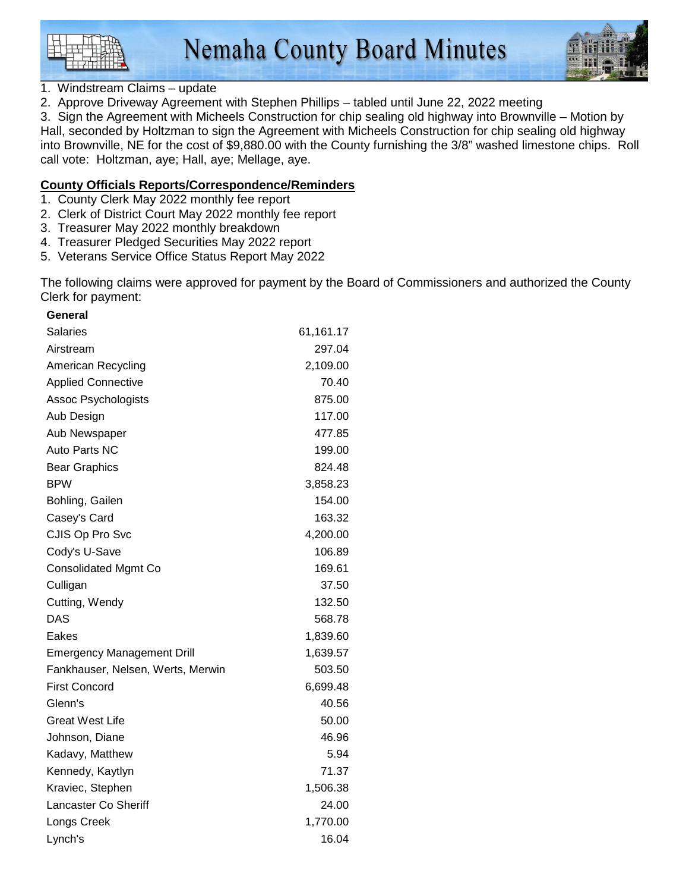

### 1. Windstream Claims – update

2. Approve Driveway Agreement with Stephen Phillips – tabled until June 22, 2022 meeting

3. Sign the Agreement with Micheels Construction for chip sealing old highway into Brownville – Motion by Hall, seconded by Holtzman to sign the Agreement with Micheels Construction for chip sealing old highway into Brownville, NE for the cost of \$9,880.00 with the County furnishing the 3/8" washed limestone chips. Roll call vote: Holtzman, aye; Hall, aye; Mellage, aye.

#### **County Officials Reports/Correspondence/Reminders**

- 1. County Clerk May 2022 monthly fee report
- 2. Clerk of District Court May 2022 monthly fee report
- 3. Treasurer May 2022 monthly breakdown
- 4. Treasurer Pledged Securities May 2022 report
- 5. Veterans Service Office Status Report May 2022

The following claims were approved for payment by the Board of Commissioners and authorized the County Clerk for payment:

| General                           |           |
|-----------------------------------|-----------|
| <b>Salaries</b>                   | 61,161.17 |
| Airstream                         | 297.04    |
| American Recycling                | 2,109.00  |
| <b>Applied Connective</b>         | 70.40     |
| <b>Assoc Psychologists</b>        | 875.00    |
| Aub Design                        | 117.00    |
| Aub Newspaper                     | 477.85    |
| Auto Parts NC                     | 199.00    |
| <b>Bear Graphics</b>              | 824.48    |
| <b>BPW</b>                        | 3,858.23  |
| Bohling, Gailen                   | 154.00    |
| Casey's Card                      | 163.32    |
| CJIS Op Pro Svc                   | 4,200.00  |
| Cody's U-Save                     | 106.89    |
| <b>Consolidated Mgmt Co</b>       | 169.61    |
| Culligan                          | 37.50     |
| Cutting, Wendy                    | 132.50    |
| DAS                               | 568.78    |
| Eakes                             | 1,839.60  |
| <b>Emergency Management Drill</b> | 1,639.57  |
| Fankhauser, Nelsen, Werts, Merwin | 503.50    |
| <b>First Concord</b>              | 6,699.48  |
| Glenn's                           | 40.56     |
| <b>Great West Life</b>            | 50.00     |
| Johnson, Diane                    | 46.96     |
| Kadavy, Matthew                   | 5.94      |
| Kennedy, Kaytlyn                  | 71.37     |
| Kraviec, Stephen                  | 1,506.38  |
| <b>Lancaster Co Sheriff</b>       | 24.00     |
| Longs Creek                       | 1,770.00  |
| Lynch's                           | 16.04     |
|                                   |           |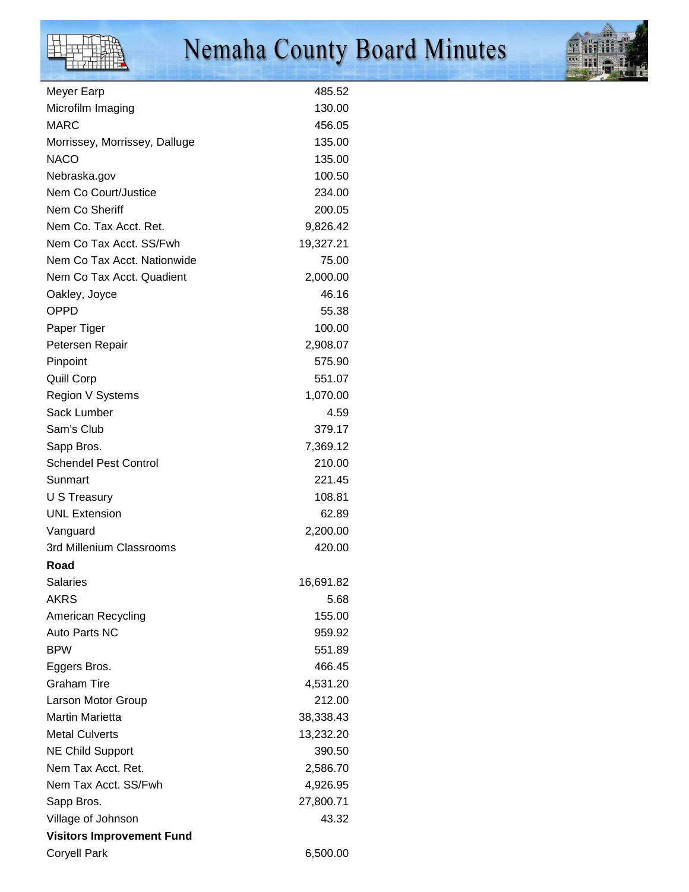# Nemaha County Board Minutes



| Meyer Earp                           | 485.52             |
|--------------------------------------|--------------------|
| Microfilm Imaging                    | 130.00             |
| <b>MARC</b>                          | 456.05             |
| Morrissey, Morrissey, Dalluge        | 135.00             |
| <b>NACO</b>                          | 135.00             |
| Nebraska.gov                         | 100.50             |
| Nem Co Court/Justice                 | 234.00             |
| Nem Co Sheriff                       | 200.05             |
| Nem Co. Tax Acct. Ret.               | 9,826.42           |
| Nem Co Tax Acct. SS/Fwh              | 19,327.21          |
| Nem Co Tax Acct. Nationwide          | 75.00              |
| Nem Co Tax Acct. Quadient            | 2,000.00           |
| Oakley, Joyce                        | 46.16              |
| <b>OPPD</b>                          | 55.38              |
| Paper Tiger                          | 100.00             |
| Petersen Repair                      | 2,908.07           |
| Pinpoint                             | 575.90             |
| Quill Corp                           | 551.07             |
| Region V Systems                     | 1,070.00           |
| Sack Lumber                          | 4.59               |
| Sam's Club                           | 379.17             |
| Sapp Bros.                           | 7,369.12           |
| <b>Schendel Pest Control</b>         | 210.00             |
| Sunmart                              | 221.45             |
| U S Treasury                         | 108.81             |
| <b>UNL Extension</b>                 | 62.89              |
|                                      |                    |
| Vanguard<br>3rd Millenium Classrooms | 2,200.00<br>420.00 |
|                                      |                    |
| Road                                 |                    |
| <b>Salaries</b>                      | 16,691.82          |
| <b>AKRS</b>                          | 5.68               |
| American Recycling                   | 155.00             |
| Auto Parts NC                        | 959.92             |
| <b>BPW</b>                           | 551.89             |
| Eggers Bros.                         | 466.45             |
| <b>Graham Tire</b>                   | 4,531.20           |
| Larson Motor Group                   | 212.00             |
| <b>Martin Marietta</b>               | 38,338.43          |
| <b>Metal Culverts</b>                | 13,232.20          |
| <b>NE Child Support</b>              | 390.50             |
| Nem Tax Acct. Ret.                   | 2,586.70           |
| Nem Tax Acct. SS/Fwh                 | 4,926.95           |
| Sapp Bros.                           | 27,800.71          |
| Village of Johnson                   | 43.32              |
| <b>Visitors Improvement Fund</b>     |                    |
| <b>Coryell Park</b>                  | 6,500.00           |